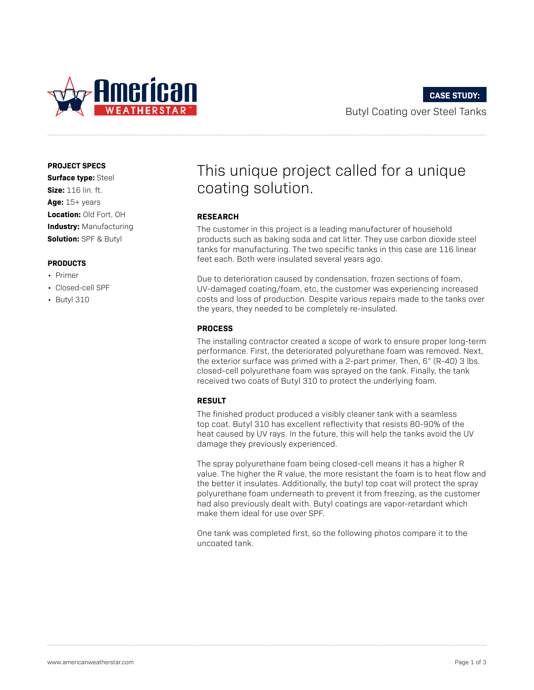

**PROJECT SPECS**

**Surface type:** Steel **Size:** 116 lin. ft. **Age:** 15+ years **Location:** Old Fort, OH **Industry:** Manufacturing **Solution:** SPF & Butyl

#### **PRODUCTS**

- Primer
- Closed-cell SPF
- Butyl 310

# This unique project called for a unique coating solution.

#### **RESEARCH**

The customer in this project is a leading manufacturer of household products such as baking soda and cat litter. They use carbon dioxide steel tanks for manufacturing. The two specific tanks in this case are 116 linear feet each. Both were insulated several years ago.

Due to deterioration caused by condensation, frozen sections of foam, UV-damaged coating/foam, etc, the customer was experiencing increased costs and loss of production. Despite various repairs made to the tanks over the years, they needed to be completely re-insulated.

#### **PROCESS**

The installing contractor created a scope of work to ensure proper long-term performance. First, the deteriorated polyurethane foam was removed. Next, the exterior surface was primed with a 2-part primer. Then, 6" (R-40) 3 lbs. closed-cell polyurethane foam was sprayed on the tank. Finally, the tank received two coats of Butyl 310 to protect the underlying foam.

### **RESULT**

The finished product produced a visibly cleaner tank with a seamless top coat. Butyl 310 has excellent reflectivity that resists 80-90% of the heat caused by UV rays. In the future, this will help the tanks avoid the UV damage they previously experienced.

The spray polyurethane foam being closed-cell means it has a higher R value. The higher the R value, the more resistant the foam is to heat flow and the better it insulates. Additionally, the butyl top coat will protect the spray polyurethane foam underneath to prevent it from freezing, as the customer had also previously dealt with. Butyl coatings are vapor-retardant which make them ideal for use over SPF.

One tank was completed first, so the following photos compare it to the uncoated tank.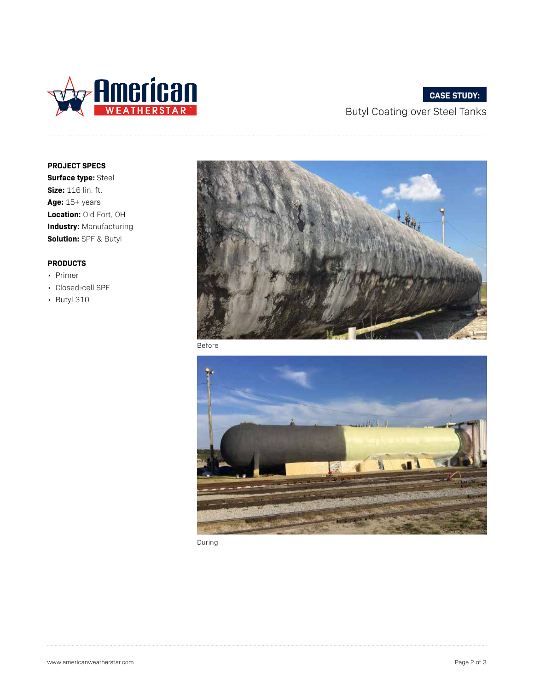

# **CASE STUDY:**

Butyl Coating over Steel Tanks

**PROJECT SPECS**

**Surface type:** Steel **Size:** 116 lin. ft. **Age:** 15+ years **Location:** Old Fort, OH **Industry:** Manufacturing **Solution:** SPF & Butyl

## **PRODUCTS**

- Primer
- Closed-cell SPF
- Butyl 310



Before



During